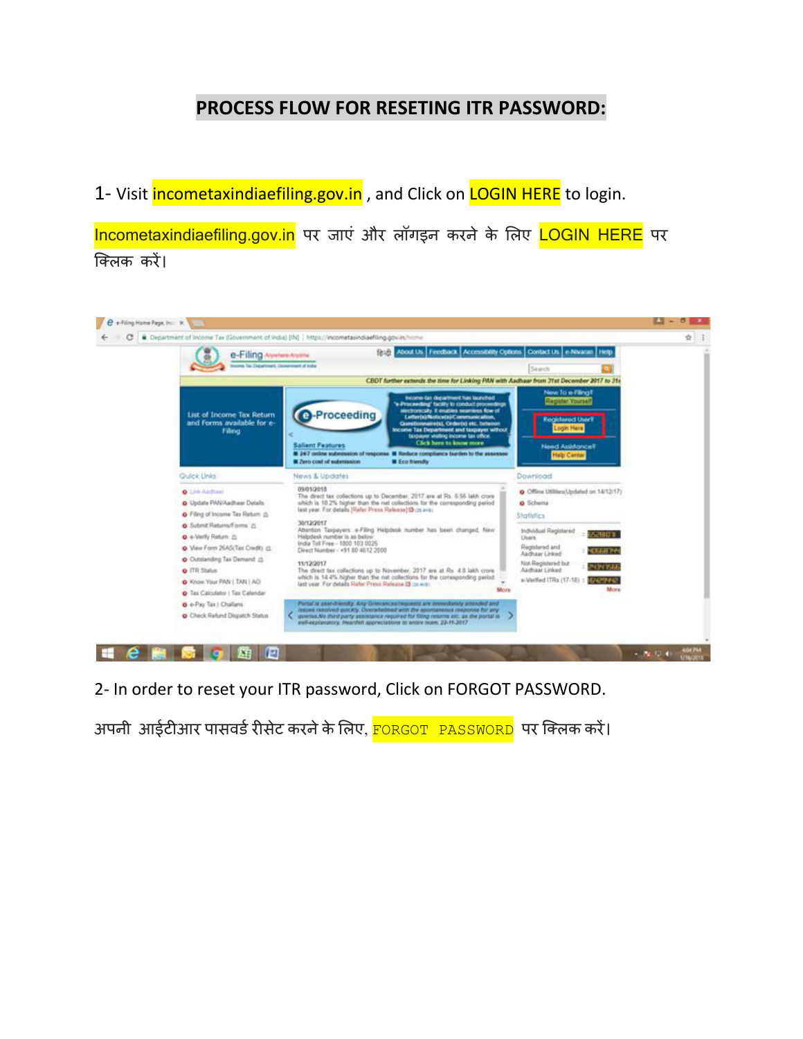## **PROCESS FLOW FOR RESETING ITR PASSWORD:**

1- Visit incometaxindiaefiling.gov.in, and Click on **LOGIN HERE** to login.

Incometaxindiaefiling.gov.in पर जाएं और लॉगइन करने के लिए LOGIN HERE पर क्ललक करें।



2- In order to reset your ITR password, Click on FORGOT PASSWORD.

अपनी आईटीआर पासवर्ड रीसेट करने के लिए, FORGOT PASSWORD पर क्लिक करें।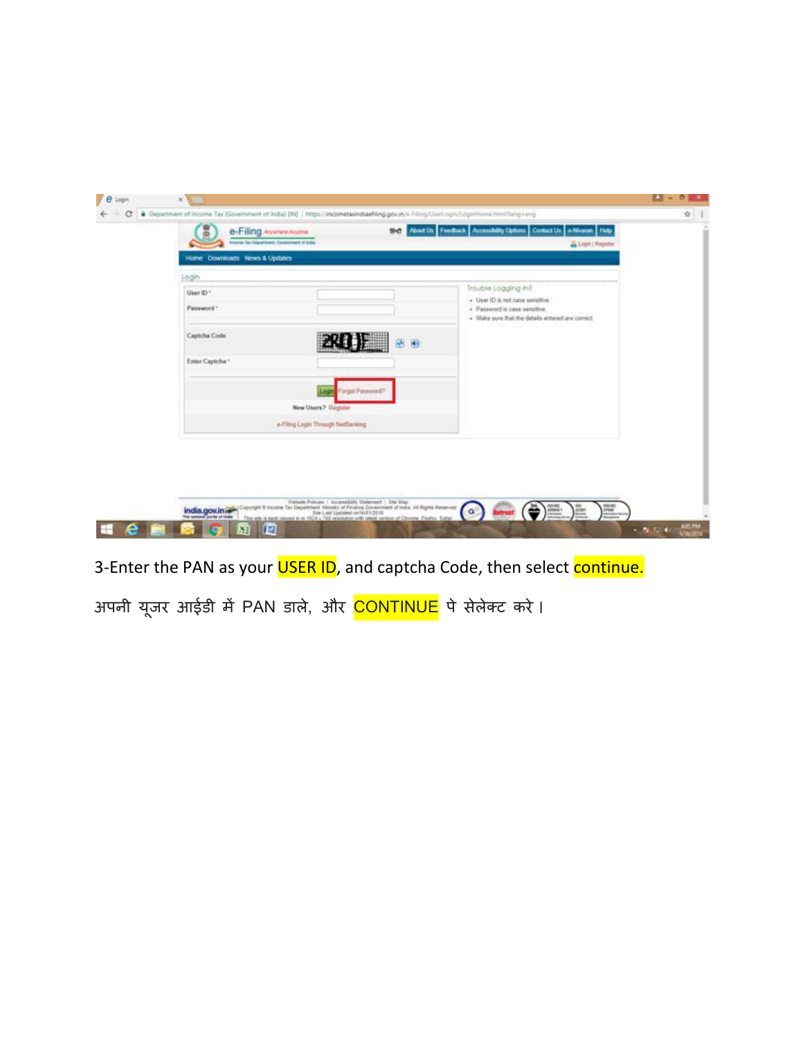| Home Downloads News & Updates      |                                                          | & Legin   Register                                                                                                    |  |
|------------------------------------|----------------------------------------------------------|-----------------------------------------------------------------------------------------------------------------------|--|
| Login                              |                                                          | Trouble Logging Inf                                                                                                   |  |
| User ID <sup>+</sup><br>Password * |                                                          | + User ID is not case sensitive.<br>· Password is case sensitive.<br>. Make sure that the details entered are correct |  |
| Captcha Code                       |                                                          |                                                                                                                       |  |
| Enter Captcha ~                    | Forgot Password?                                         |                                                                                                                       |  |
|                                    | New Users? Register<br>e-Filing Login Through NetBanking |                                                                                                                       |  |
|                                    |                                                          |                                                                                                                       |  |
|                                    |                                                          |                                                                                                                       |  |

3-Enter the PAN as your USER ID, and captcha Code, then select continue.

अपनी यूजर आईडी में PAN डाले, और <mark>CONTINUE</mark> पे सेलेक्ट करे।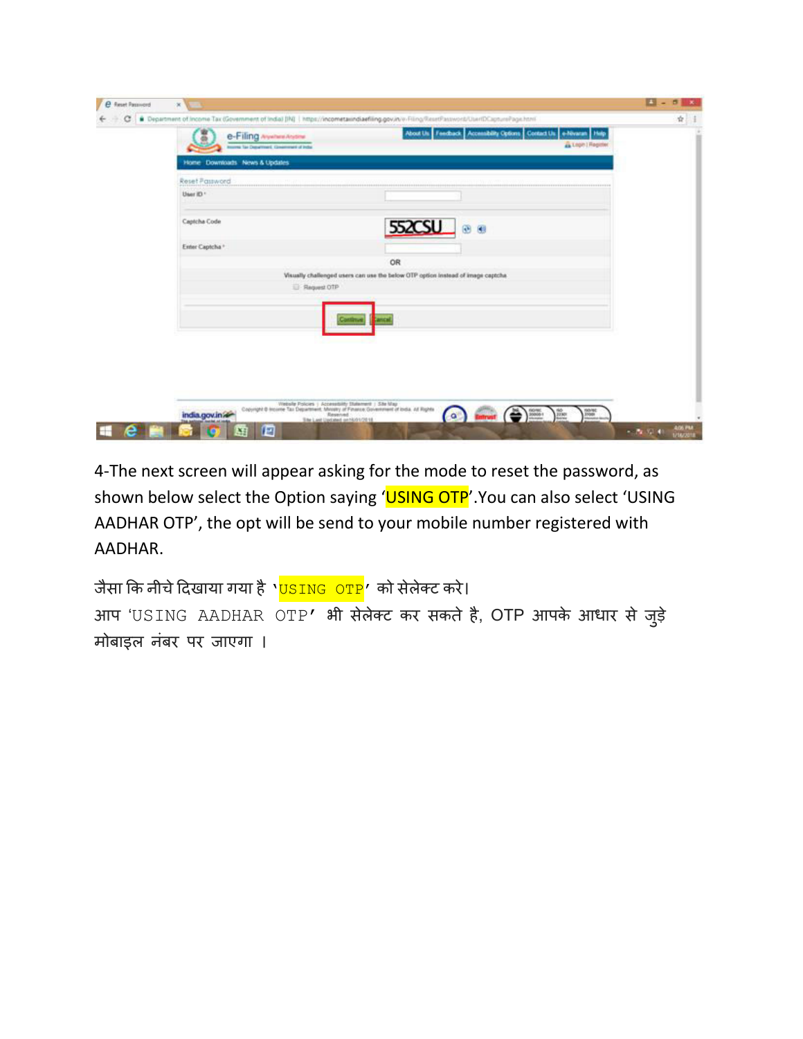| c | Pepartment of income Tax (Government of India) (IN)   https://incometaxindiaefiling.gov.in/v-Filing/ResetPassword/User(DCapturePage.html                                   |                                                                                       | ÷ |
|---|----------------------------------------------------------------------------------------------------------------------------------------------------------------------------|---------------------------------------------------------------------------------------|---|
|   | e-Filing AsystemAsystem                                                                                                                                                    | About Us Feedback Accessibility Options Contact Us e-Nivaran Help<br>Login   Register |   |
|   | Income fair Department, Government of India                                                                                                                                |                                                                                       |   |
|   | Home Downloads News & Updates                                                                                                                                              |                                                                                       |   |
|   | Reset Password                                                                                                                                                             |                                                                                       |   |
|   | User ID *                                                                                                                                                                  |                                                                                       |   |
|   |                                                                                                                                                                            |                                                                                       |   |
|   | Captcha Code                                                                                                                                                               | 552CSU @ @                                                                            |   |
|   | Enter Captcha *                                                                                                                                                            |                                                                                       |   |
|   | OR                                                                                                                                                                         |                                                                                       |   |
|   | Visually challenged users can use the below OTP option instead of image captcha                                                                                            |                                                                                       |   |
|   | Request OTP                                                                                                                                                                |                                                                                       |   |
|   |                                                                                                                                                                            |                                                                                       |   |
|   |                                                                                                                                                                            |                                                                                       |   |
|   |                                                                                                                                                                            |                                                                                       |   |
|   |                                                                                                                                                                            |                                                                                       |   |
|   |                                                                                                                                                                            |                                                                                       |   |
|   |                                                                                                                                                                            |                                                                                       |   |
|   |                                                                                                                                                                            |                                                                                       |   |
|   |                                                                                                                                                                            |                                                                                       |   |
|   | Copyright & Househ Policies   Accessibility Statement   Site Map<br>Copyright & Househe Tax Department, Manager of Pinasce, Government of India, at Rights<br>india.gov.in |                                                                                       |   |

4-The next screen will appear asking for the mode to reset the password, as shown below select the Option saying 'USING OTP'. You can also select 'USING AADHAR OTP', the opt will be send to your mobile number registered with AADHAR.

जैसा कि नीचे दिखाया गया है '<mark>USING OTP</mark>' को सेलेक्ट करे। आप 'USING AADHAR OTP' भी सेलेक्ट कर सकते है, OTP आपके आधार से जुड़े मोबाइल नंबर पर जाएगा ।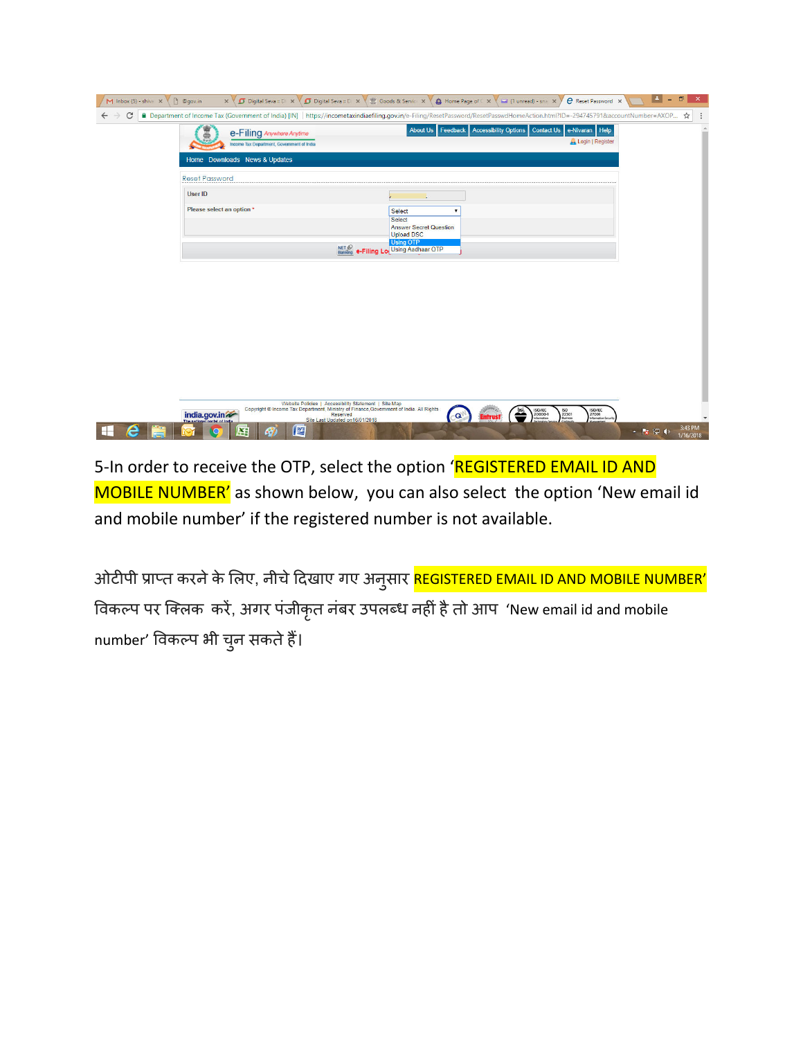| n @qov.in<br>$M$ Inbox (5) - shiva $\times$ |                                                                                                    | X   Digital Seva :: D X   Digital Seva :: D X   IS Goods & Servic: X   0 Home Page of C X   1 unread) - sna X                                                                  | e Reset Password X                                                                                                                  | $\vert \pm \vert$<br>o<br>×         |
|---------------------------------------------|----------------------------------------------------------------------------------------------------|--------------------------------------------------------------------------------------------------------------------------------------------------------------------------------|-------------------------------------------------------------------------------------------------------------------------------------|-------------------------------------|
| C                                           |                                                                                                    | A Department of Income Tax (Government of India) [IN] https://incometaxindiaefiling.gov.in/e-Filing/ResetPassword/ResetPasswolHomeAction.html?ID=-294745791&accountNumber=AXOP |                                                                                                                                     | ☆                                   |
|                                             | e-Filing Anywhere Anytime                                                                          | About Us Feedback Accessibility Options Contact Us e-Nivaran Help                                                                                                              |                                                                                                                                     |                                     |
|                                             | Income Tax Department, Government of India                                                         |                                                                                                                                                                                | Login   Register                                                                                                                    |                                     |
| Home Downloads News & Updates               |                                                                                                    |                                                                                                                                                                                |                                                                                                                                     |                                     |
| <b>Reset Password</b>                       |                                                                                                    |                                                                                                                                                                                |                                                                                                                                     |                                     |
| User ID                                     |                                                                                                    |                                                                                                                                                                                |                                                                                                                                     |                                     |
| Please select an option *                   |                                                                                                    | <b>Select</b>                                                                                                                                                                  |                                                                                                                                     |                                     |
|                                             |                                                                                                    | <b>Select</b><br><b>Answer Secret Question</b>                                                                                                                                 |                                                                                                                                     |                                     |
|                                             |                                                                                                    | <b>Upload DSC</b><br><b>Using OTP</b>                                                                                                                                          |                                                                                                                                     |                                     |
|                                             |                                                                                                    | <b>NET &amp; e-Filing Lo</b> Using Aadhaar OTP                                                                                                                                 |                                                                                                                                     |                                     |
|                                             |                                                                                                    |                                                                                                                                                                                |                                                                                                                                     |                                     |
|                                             |                                                                                                    |                                                                                                                                                                                |                                                                                                                                     |                                     |
|                                             |                                                                                                    |                                                                                                                                                                                |                                                                                                                                     |                                     |
|                                             |                                                                                                    |                                                                                                                                                                                |                                                                                                                                     |                                     |
|                                             |                                                                                                    |                                                                                                                                                                                |                                                                                                                                     |                                     |
|                                             |                                                                                                    |                                                                                                                                                                                |                                                                                                                                     |                                     |
|                                             |                                                                                                    |                                                                                                                                                                                |                                                                                                                                     |                                     |
|                                             |                                                                                                    |                                                                                                                                                                                |                                                                                                                                     |                                     |
|                                             |                                                                                                    |                                                                                                                                                                                |                                                                                                                                     |                                     |
|                                             | Website Policies   Accessibility Statement   Site Map                                              |                                                                                                                                                                                |                                                                                                                                     |                                     |
| india.gov.in                                | Copyright © Income Tax Department, Ministry of Finance Government of India. All Rights<br>Reserved | $-\mathbf{Q}$                                                                                                                                                                  | <b>ISO/IEC</b><br>27001<br>ISO/IEC<br>20000-1<br>Information<br>$\sum_{\text{Dosives}}^{\text{ISO}}$<br><b>Information Security</b> |                                     |
|                                             | Site Last Updated on 16/01/2018<br>些<br>X                                                          |                                                                                                                                                                                |                                                                                                                                     | 3:43 PM<br>▲   2 ● (*)<br>1/16/2018 |

5-In order to receive the OTP, select the option 'REGISTERED EMAIL ID AND MOBILE NUMBER' as shown below, you can also select the option 'New email id and mobile number' if the registered number is not available.

ओटीपी प्राप्त करने के लिए, नीचे दिखाए गए अनुसार <mark>REGISTERED EMAIL ID AND MOBILE NUMBER'</mark> विकल्प पर क्लिक करें, अगर पंजीकृत नंबर उपलब्ध नहीं है तो आप 'New email id and mobile number' विकल्प भी चुन सकते हैं।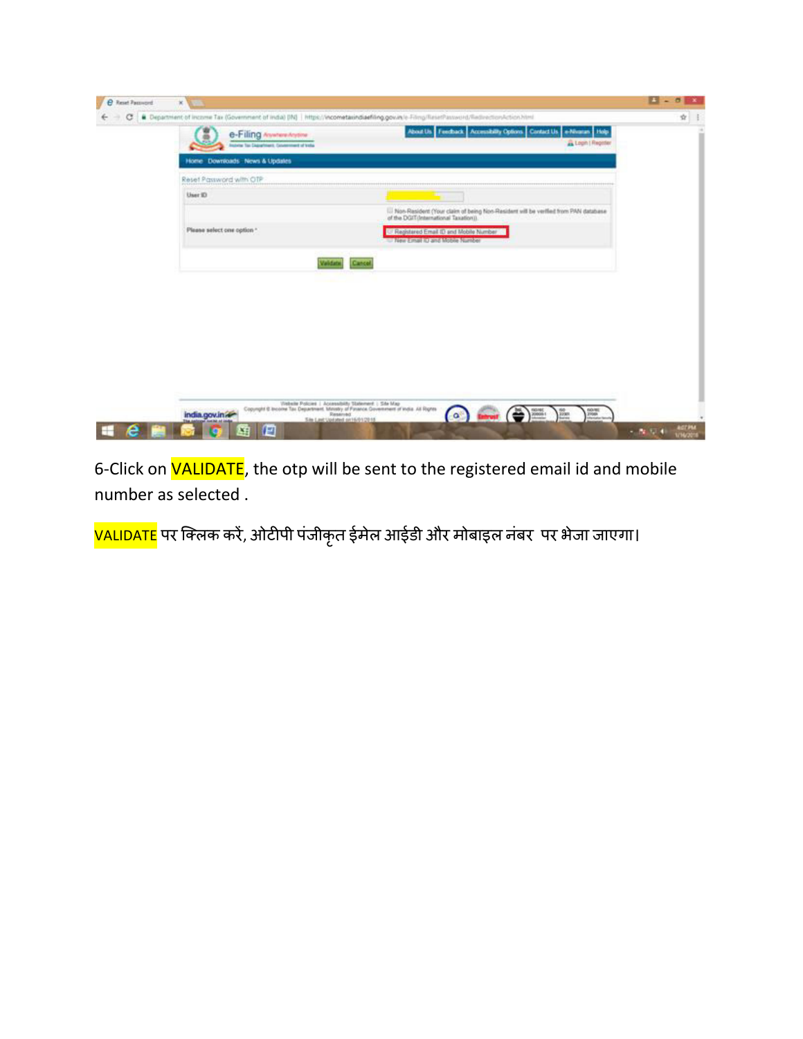| Department of income Tax (Government of indial) (IN)   https://incometaxindiaefiling.gov.in/e-Filmp/ResetPassword/Redirection.html<br>e-Filing AsystemAsystem<br>some far Digitalment, Consentent of Vola. | About Us Feechack Accessibility Options Contact Us e-Nivanas Holp<br>Logih   Register                                           |  |
|------------------------------------------------------------------------------------------------------------------------------------------------------------------------------------------------------------|---------------------------------------------------------------------------------------------------------------------------------|--|
| Home Downloads News & Updates                                                                                                                                                                              |                                                                                                                                 |  |
| Reset Password with OTP                                                                                                                                                                                    |                                                                                                                                 |  |
| User 10                                                                                                                                                                                                    |                                                                                                                                 |  |
|                                                                                                                                                                                                            | III Non-Resident (Your claim of being Non-Resident will be verified from PAN database<br>of the DGIT (International Taxation)). |  |
| Please select one option "                                                                                                                                                                                 | Registered Email ID and Mobile Number<br>To New Email to and Mobile Number                                                      |  |
| <b>Validation</b><br>Cancol                                                                                                                                                                                |                                                                                                                                 |  |
|                                                                                                                                                                                                            |                                                                                                                                 |  |
|                                                                                                                                                                                                            |                                                                                                                                 |  |
|                                                                                                                                                                                                            |                                                                                                                                 |  |
|                                                                                                                                                                                                            |                                                                                                                                 |  |
|                                                                                                                                                                                                            |                                                                                                                                 |  |
|                                                                                                                                                                                                            |                                                                                                                                 |  |
|                                                                                                                                                                                                            |                                                                                                                                 |  |

6-Click on **VALIDATE**, the otp will be sent to the registered email id and mobile number as selected .

<mark>VALIDATE</mark> पर क्लिक करें, ओटीपी पंजीकृत ईमेल आईडी और मोबाइल नंबर पर भेजा जाएगा।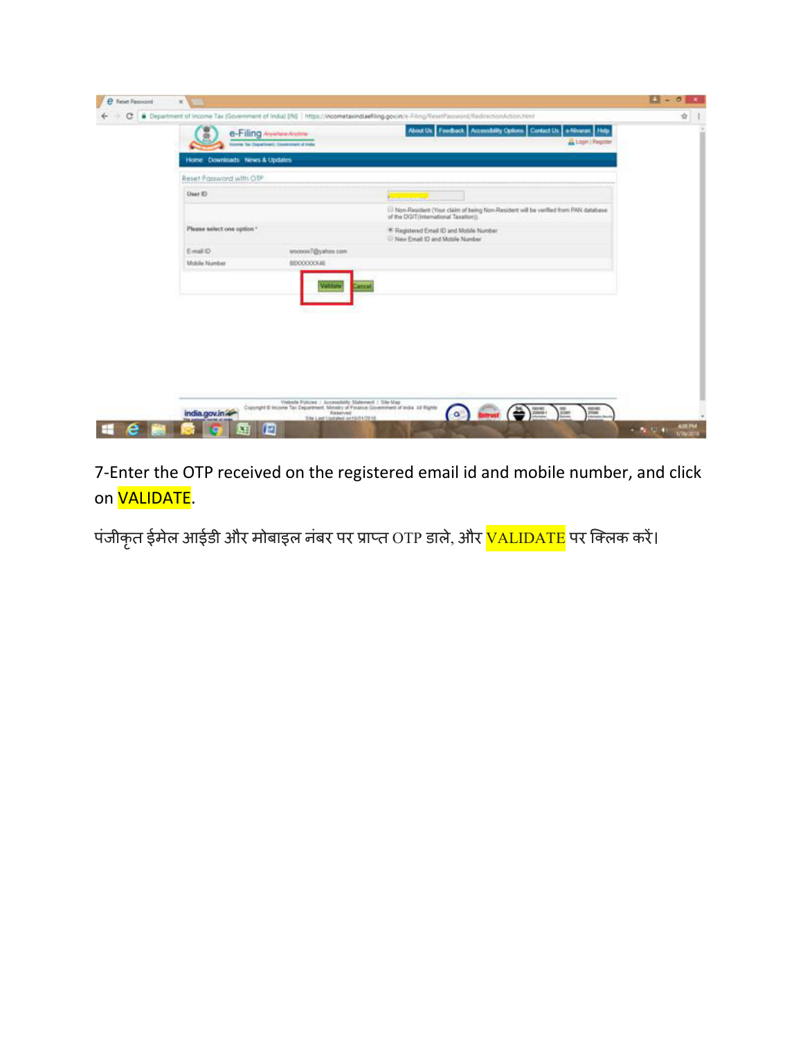|                               | e-Filing Assemblation<br>torem Tax Department, Covenement of Felix | About Us Feedback Accessibility Options Contact Us + Nivaran Help<br>Login   Register                                                                                                                                                |  |
|-------------------------------|--------------------------------------------------------------------|--------------------------------------------------------------------------------------------------------------------------------------------------------------------------------------------------------------------------------------|--|
| Home Downloads News & Updates |                                                                    |                                                                                                                                                                                                                                      |  |
| Reset Password with OTP       |                                                                    |                                                                                                                                                                                                                                      |  |
| User ID                       |                                                                    | <u> The Common State State State State State State State State State State State State State State State State State State State State State State State State State State State State State State State State State State State</u> |  |
|                               |                                                                    | 1. Non-Resident (Your claim of being Non-Resident will be verified from PAN database<br>of the DGIT(International Taxation)).                                                                                                        |  |
| Please select one option "    |                                                                    | <sup>*</sup> Registered Email ID and Mobile Number<br><sup>12</sup> New Email 10 and Mobile Number                                                                                                                                   |  |
| E-mail ID                     | snoson7@yahoo.com                                                  |                                                                                                                                                                                                                                      |  |
| Mobile Number                 | BEXXXXXXXXXX                                                       |                                                                                                                                                                                                                                      |  |
|                               | Validate<br>मानामा                                                 |                                                                                                                                                                                                                                      |  |
|                               |                                                                    |                                                                                                                                                                                                                                      |  |

7-Enter the OTP received on the registered email id and mobile number, and click on **VALIDATE**.

पंजीकृत ईमेल आईडी और मोबाइल नंबर पर प्राप्त OTP डाले, और <mark>VALIDATE</mark> पर क्लिक करें।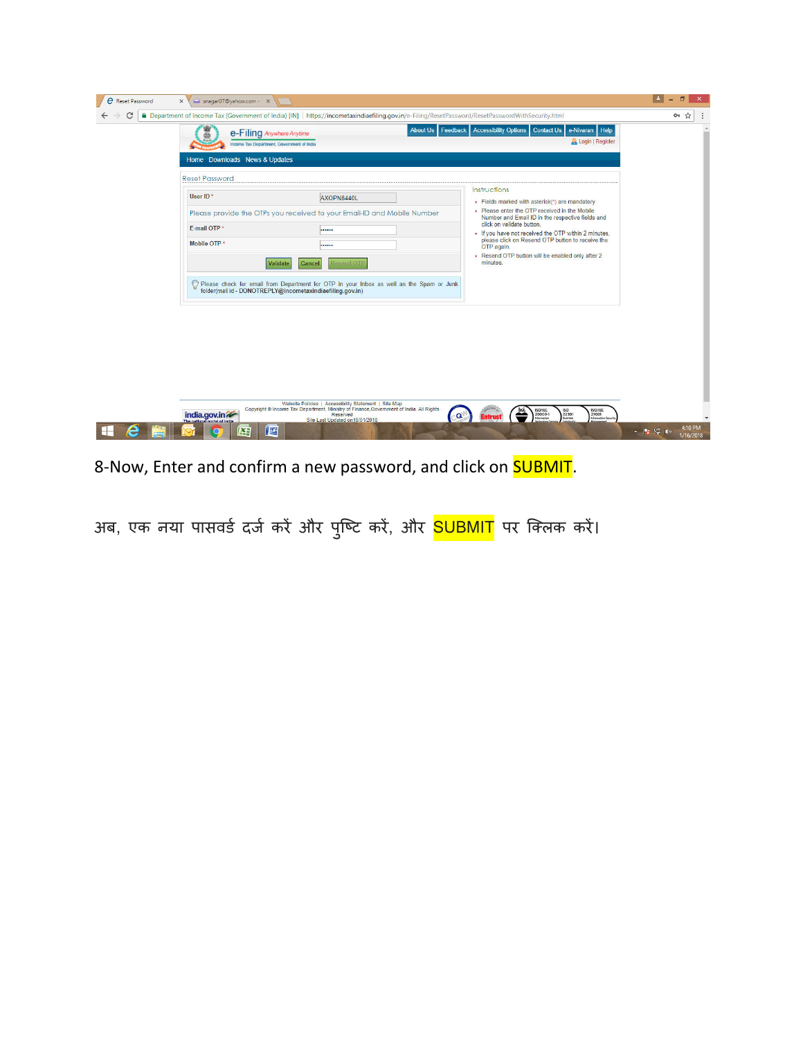| e<br><b>Reset Password</b> | Shaqar07@yahoo.com - X<br>$\times$                                                                                                         |                                                                                                                                                                                                                          |                                                                                                                                                                                                                                                                                                                                                                                            | n                                 |
|----------------------------|--------------------------------------------------------------------------------------------------------------------------------------------|--------------------------------------------------------------------------------------------------------------------------------------------------------------------------------------------------------------------------|--------------------------------------------------------------------------------------------------------------------------------------------------------------------------------------------------------------------------------------------------------------------------------------------------------------------------------------------------------------------------------------------|-----------------------------------|
| C                          | e-Filing Anywhere Anytime<br>Income Tax Department, Government of India<br>Home Downloads News & Updates                                   | Publisher Department of Income Tax (Government of India) [IN] https://incometaxindiaefiling.gov.in/e-Filing/ResetPassword/ResetPasswordWithSecurity.html                                                                 | About Us Feedback Accessibility Options Contact Us e-Nivaran Help<br>Login   Register                                                                                                                                                                                                                                                                                                      | $O_T$<br>☆                        |
|                            | <b>Reset Password</b><br>User ID*<br>E-mail OTP *<br>Mobile OTP *<br>Validate<br>folder(mail id - DONOTREPLY@incometaxindiaefiling.gov.in) | AXOPN8440L<br>Please provide the OTPs you received to your Email-ID and Mobile Number<br><br><br>Cancel<br><b>Cesend OTF</b><br>Please check for email from Department for OTP in your Inbox as well as the Spam or Junk | Instructions<br>+ Fields marked with asterisk(*) are mandatory<br>+ Please enter the OTP received in the Mobile<br>Number and Email ID in the respective fields and<br>click on validate button.<br>+ If you have not received the OTP within 2 minutes,<br>please click on Resend OTP button to receive the<br>OTP again.<br>+ Resend OTP button will be enabled only after 2<br>minutes. |                                   |
|                            | india.gov.in<br>些<br>¥Ë                                                                                                                    | Website Policies   Accessibility Statement   Site Map<br>Copyright © Income Tax Department, Ministry of Finance Government of India. All Rights<br>Reserved<br>Site Last Updated on 16/01/2018                           | <b>ISO/IEC</b><br>ISO/IEC<br>20000-1<br>ISO<br>22301<br>Business<br>27001<br>Information Security<br>$-\mathbf{Q}$                                                                                                                                                                                                                                                                         | 4:10 PM<br>  ※ 記 (の)<br>1/16/2018 |

8-Now, Enter and confirm a new password, and click on **SUBMIT**.

अब, एक नया पासवर्ड दर्ज करें और पुष्टि करें, और <mark>SUBMIT</mark> पर क्लिक करें।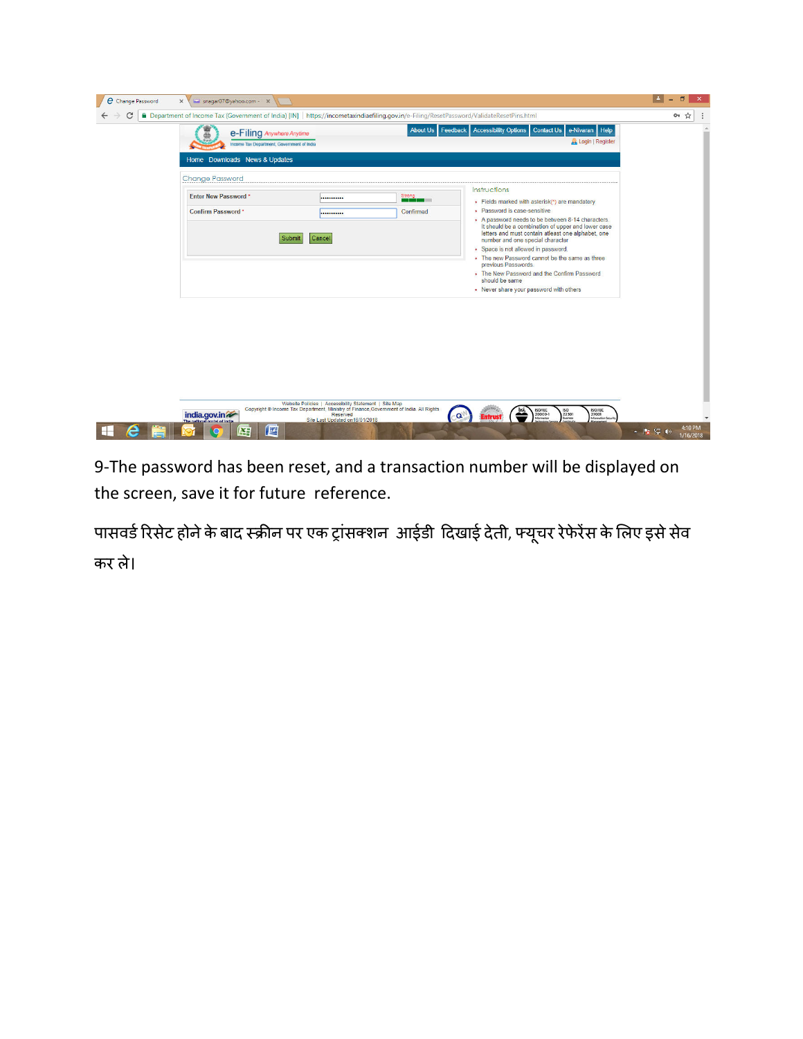| e-Filing Anywhere Anytime<br>Income Tax Department, Government of India |                  |           | About Us Feedback Accessibility Options<br>Contact Us e-Nivaran Help<br>Login   Register                                                                                                          |  |
|-------------------------------------------------------------------------|------------------|-----------|---------------------------------------------------------------------------------------------------------------------------------------------------------------------------------------------------|--|
| Home Downloads News & Updates                                           |                  |           |                                                                                                                                                                                                   |  |
| <b>Change Password</b>                                                  |                  |           |                                                                                                                                                                                                   |  |
| Enter New Password *                                                    | Strong<br>       |           | Instructions<br>+ Fields marked with asterisk(*) are mandatory                                                                                                                                    |  |
| Confirm Password*                                                       |                  | Confirmed | + Password is case-sensitive                                                                                                                                                                      |  |
|                                                                         | Submit<br>Cancel |           | + A password needs to be between 8-14 characters.<br>It should be a combination of upper and lower case<br>letters and must contain atleast one alphabet, one<br>number and one special character |  |
|                                                                         |                  |           | + Space is not allowed in password.                                                                                                                                                               |  |
|                                                                         |                  |           | + The new Password cannot be the same as three<br>previous Passwords.                                                                                                                             |  |
|                                                                         |                  |           | • The New Password and the Confirm Password<br>should be same                                                                                                                                     |  |
|                                                                         |                  |           | • Never share your password with others                                                                                                                                                           |  |
|                                                                         |                  |           |                                                                                                                                                                                                   |  |

9-The password has been reset, and a transaction number will be displayed on the screen, save it for future reference.

पासवर्ड रिसेट होने के बाद स्क्रीन पर एक ट्रांसक्शन आईडी दिखाई देती, फ्यूचर रेफेरेंस के लिए इसे सेव कर ले।